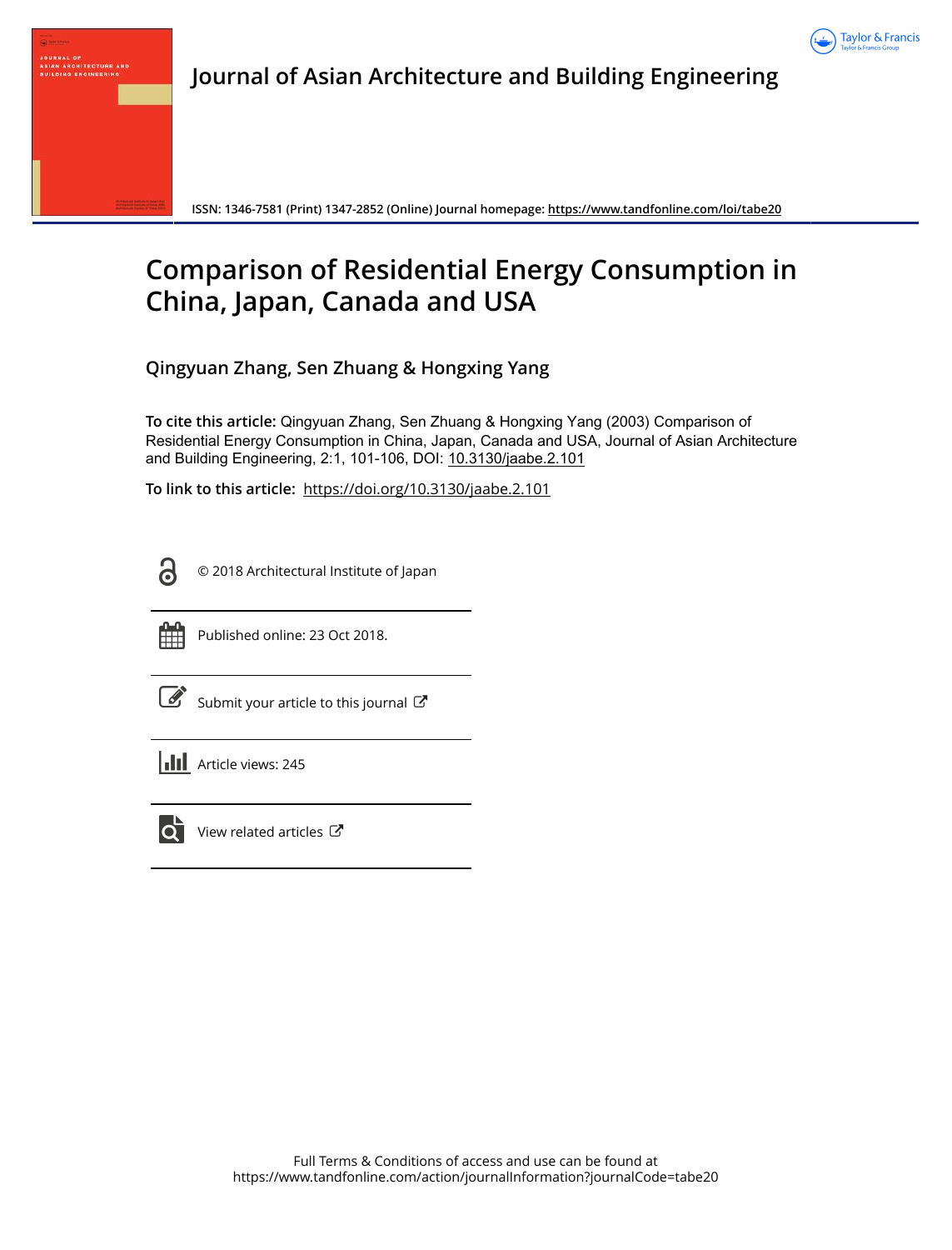



**ISSN: 1346-7581 (Print) 1347-2852 (Online) Journal homepage:<https://www.tandfonline.com/loi/tabe20>**

# **Comparison of Residential Energy Consumption in China, Japan, Canada and USA**

**Qingyuan Zhang, Sen Zhuang & Hongxing Yang**

**To cite this article:** Qingyuan Zhang, Sen Zhuang & Hongxing Yang (2003) Comparison of Residential Energy Consumption in China, Japan, Canada and USA, Journal of Asian Architecture and Building Engineering, 2:1, 101-106, DOI: [10.3130/jaabe.2.101](https://www.tandfonline.com/action/showCitFormats?doi=10.3130/jaabe.2.101)

**To link to this article:** <https://doi.org/10.3130/jaabe.2.101>

© 2018 Architectural Institute of Japan



႕

JOURNAL OF<br>Asian Architecture And<br>Building Engineering

Published online: 23 Oct 2018.

[Submit your article to this journal](https://www.tandfonline.com/action/authorSubmission?journalCode=tabe20&show=instructions)  $\mathbb{Z}$ 

**Article views: 245** 



 $\overrightarrow{Q}$  [View related articles](https://www.tandfonline.com/doi/mlt/10.3130/jaabe.2.101)  $\overrightarrow{C}$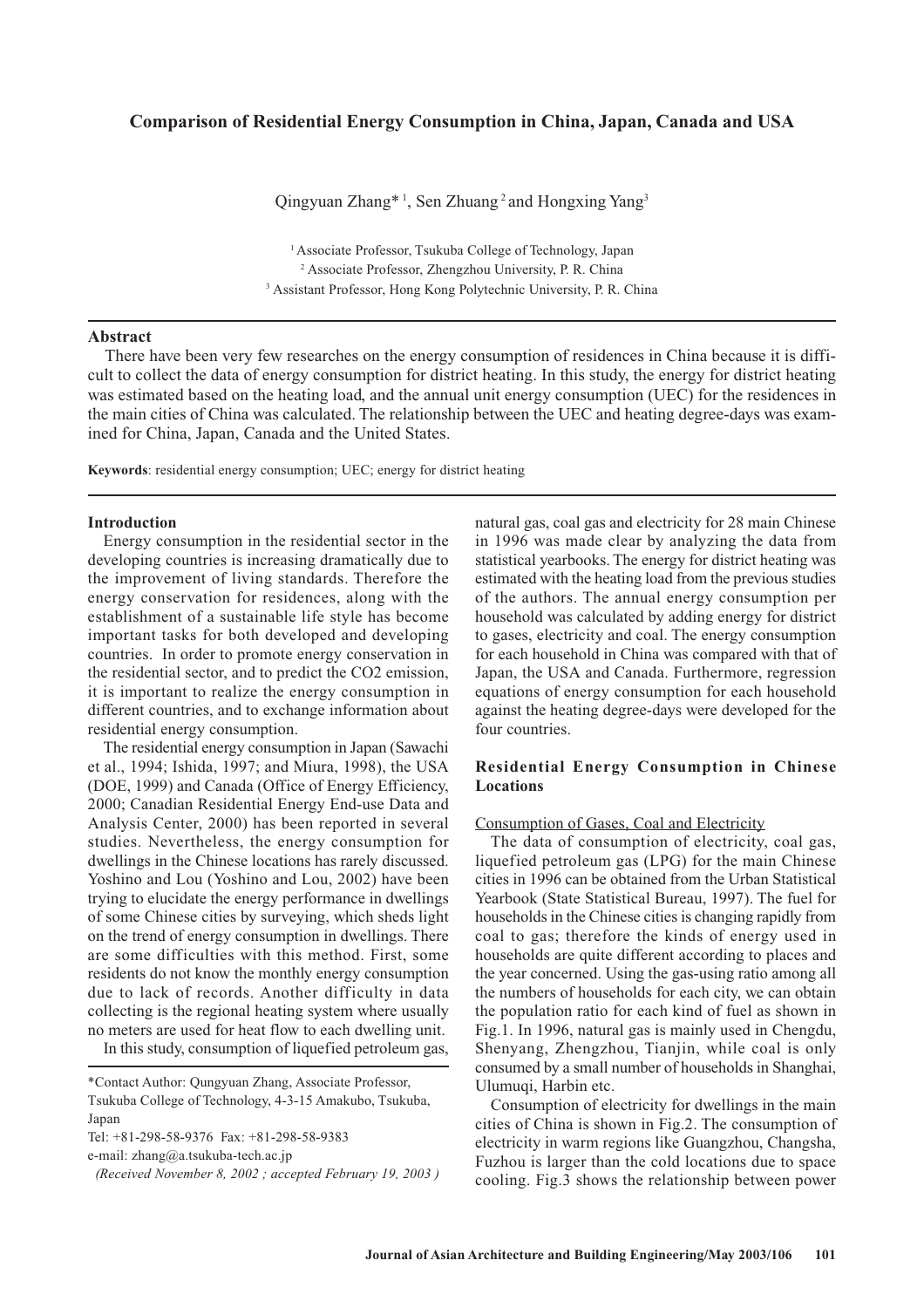# **Comparison of Residential Energy Consumption in China, Japan, Canada and USA**

Qingyuan Zhang<sup>\* 1</sup>, Sen Zhuang<sup>2</sup> and Hongxing Yang<sup>3</sup>

<sup>1</sup> Associate Professor, Tsukuba College of Technology, Japan <sup>2</sup> Associate Professor, Zhengzhou University, P. R. China <sup>3</sup> Assistant Professor, Hong Kong Polytechnic University, P. R. China

## **Abstract**

There have been very few researches on the energy consumption of residences in China because it is difficult to collect the data of energy consumption for district heating. In this study, the energy for district heating was estimated based on the heating load, and the annual unit energy consumption (UEC) for the residences in the main cities of China was calculated. The relationship between the UEC and heating degree-days was examined for China, Japan, Canada and the United States.

**Keywords**: residential energy consumption; UEC; energy for district heating

#### **Introduction**

Energy consumption in the residential sector in the developing countries is increasing dramatically due to the improvement of living standards. Therefore the energy conservation for residences, along with the establishment of a sustainable life style has become important tasks for both developed and developing countries. In order to promote energy conservation in the residential sector, and to predict the CO2 emission, it is important to realize the energy consumption in different countries, and to exchange information about residential energy consumption.

The residential energy consumption in Japan (Sawachi et al., 1994; Ishida, 1997; and Miura, 1998), the USA (DOE, 1999) and Canada (Office of Energy Efficiency, 2000; Canadian Residential Energy End-use Data and Analysis Center, 2000) has been reported in several studies. Nevertheless, the energy consumption for dwellings in the Chinese locations has rarely discussed. Yoshino and Lou (Yoshino and Lou, 2002) have been trying to elucidate the energy performance in dwellings of some Chinese cities by surveying, which sheds light on the trend of energy consumption in dwellings. There are some difficulties with this method. First, some residents do not know the monthly energy consumption due to lack of records. Another difficulty in data collecting is the regional heating system where usually no meters are used for heat flow to each dwelling unit.

In this study, consumption of liquefied petroleum gas,

Tel: +81-298-58-9376 Fax: +81-298-58-9383

e-mail: zhang@a.tsukuba-tech.ac.jp

natural gas, coal gas and electricity for 28 main Chinese in 1996 was made clear by analyzing the data from statistical yearbooks. The energy for district heating was estimated with the heating load from the previous studies of the authors. The annual energy consumption per household was calculated by adding energy for district to gases, electricity and coal. The energy consumption for each household in China was compared with that of Japan, the USA and Canada. Furthermore, regression equations of energy consumption for each household against the heating degree-days were developed for the four countries.

## **Residential Energy Consumption in Chinese Locations**

Consumption of Gases, Coal and Electricity

The data of consumption of electricity, coal gas, liquefied petroleum gas (LPG) for the main Chinese cities in 1996 can be obtained from the Urban Statistical Yearbook (State Statistical Bureau, 1997). The fuel for households in the Chinese cities is changing rapidly from coal to gas; therefore the kinds of energy used in households are quite different according to places and the year concerned. Using the gas-using ratio among all the numbers of households for each city, we can obtain the population ratio for each kind of fuel as shown in Fig.1. In 1996, natural gas is mainly used in Chengdu, Shenyang, Zhengzhou, Tianjin, while coal is only consumed by a small number of households in Shanghai, Ulumuqi, Harbin etc.

Consumption of electricity for dwellings in the main cities of China is shown in Fig.2. The consumption of electricity in warm regions like Guangzhou, Changsha, Fuzhou is larger than the cold locations due to space cooling. Fig.3 shows the relationship between power

<sup>\*</sup>Contact Author: Qungyuan Zhang, Associate Professor, Tsukuba College of Technology, 4-3-15 Amakubo, Tsukuba, Japan

 *<sup>(</sup>Received November 8, 2002 ; accepted February 19, 2003 )*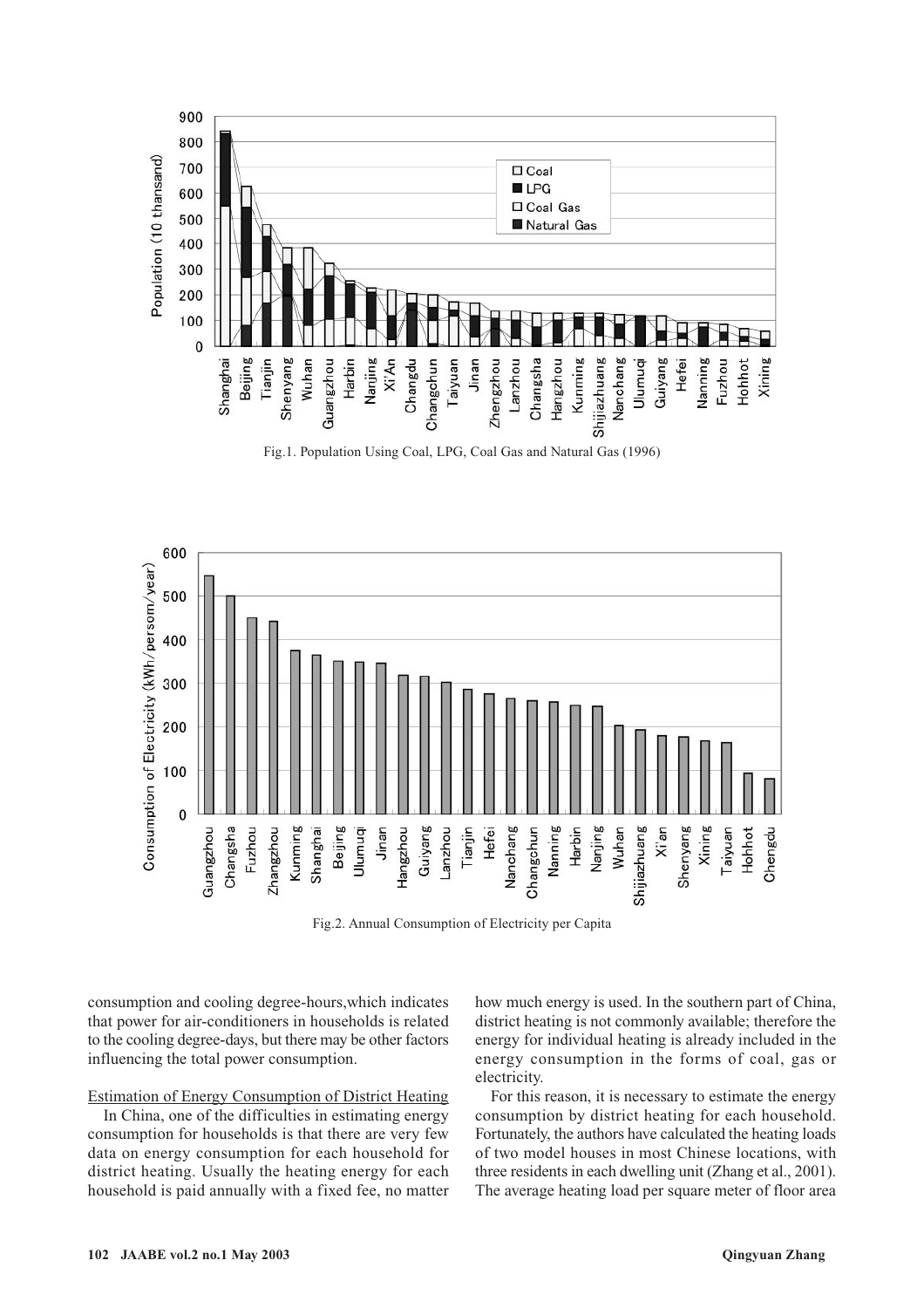



Fig.2. Annual Consumption of Electricity per Capita

consumption and cooling degree-hours,which indicates that power for air-conditioners in households is related to the cooling degree-days, but there may be other factors influencing the total power consumption.

# Estimation of Energy Consumption of District Heating

In China, one of the difficulties in estimating energy consumption for households is that there are very few data on energy consumption for each household for district heating. Usually the heating energy for each household is paid annually with a fixed fee, no matter how much energy is used. In the southern part of China, district heating is not commonly available; therefore the energy for individual heating is already included in the energy consumption in the forms of coal, gas or electricity.

For this reason, it is necessary to estimate the energy consumption by district heating for each household. Fortunately, the authors have calculated the heating loads of two model houses in most Chinese locations, with three residents in each dwelling unit (Zhang et al., 2001). The average heating load per square meter of floor area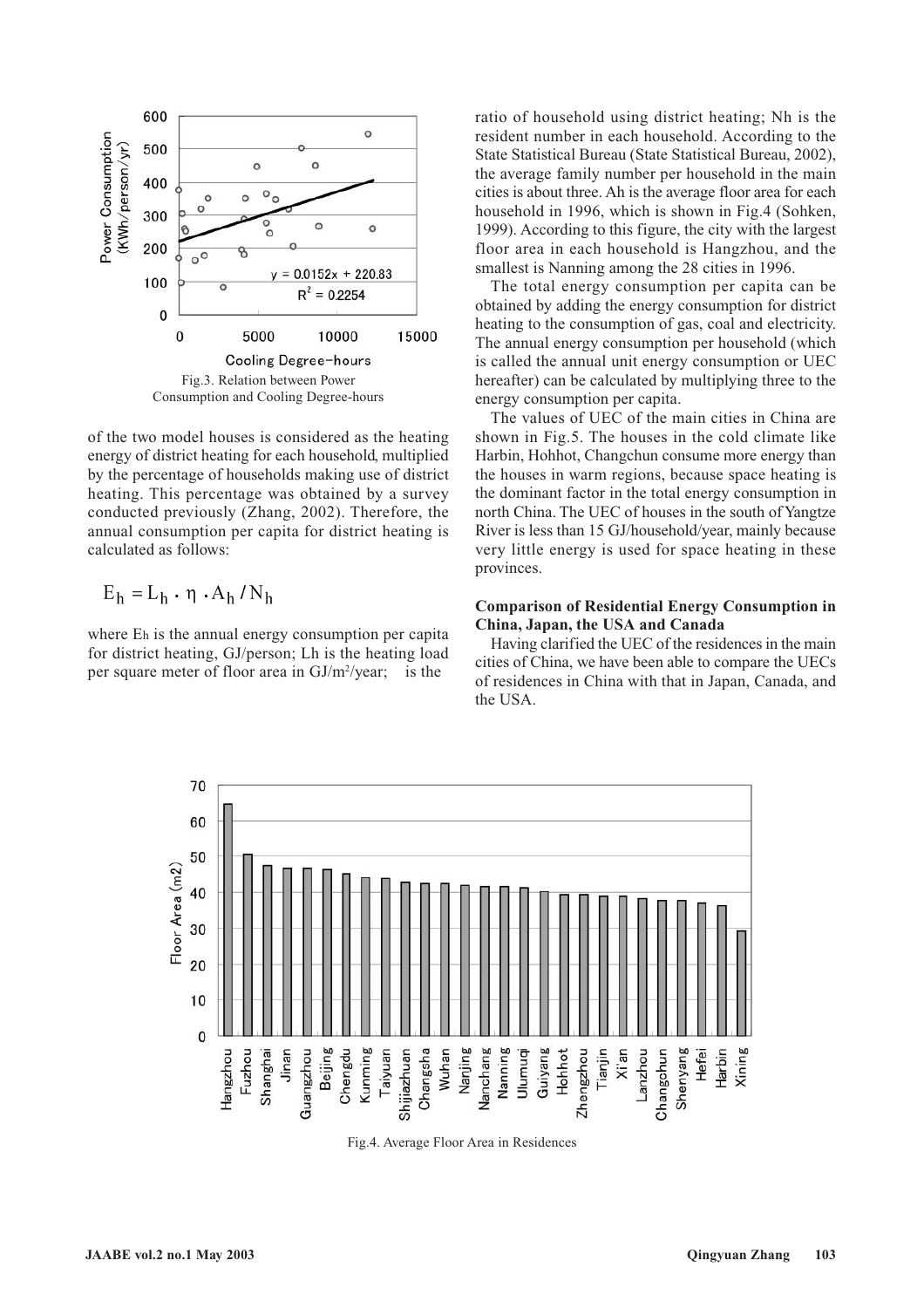

of the two model houses is considered as the heating energy of district heating for each household, multiplied by the percentage of households making use of district heating. This percentage was obtained by a survey conducted previously (Zhang, 2002). Therefore, the annual consumption per capita for district heating is calculated as follows:

$$
E_h = L_h \cdot \eta \cdot A_h / N_h
$$

where Eh is the annual energy consumption per capita for district heating, GJ/person; Lh is the heating load per square meter of floor area in GJ/m<sup>2</sup>/year; is the

ratio of household using district heating; Nh is the resident number in each household. According to the State Statistical Bureau (State Statistical Bureau, 2002), the average family number per household in the main cities is about three. Ah is the average floor area for each household in 1996, which is shown in Fig.4 (Sohken, 1999). According to this figure, the city with the largest floor area in each household is Hangzhou, and the smallest is Nanning among the 28 cities in 1996.

The total energy consumption per capita can be obtained by adding the energy consumption for district heating to the consumption of gas, coal and electricity. The annual energy consumption per household (which is called the annual unit energy consumption or UEC hereafter) can be calculated by multiplying three to the energy consumption per capita.

The values of UEC of the main cities in China are shown in Fig.5. The houses in the cold climate like Harbin, Hohhot, Changchun consume more energy than the houses in warm regions, because space heating is the dominant factor in the total energy consumption in north China. The UEC of houses in the south of Yangtze River is less than 15 GJ/household/year, mainly because very little energy is used for space heating in these provinces.

# **Comparison of Residential Energy Consumption in China, Japan, the USA and Canada**

Having clarified the UEC of the residences in the main cities of China, we have been able to compare the UECs of residences in China with that in Japan, Canada, and the USA.



Fig.4. Average Floor Area in Residences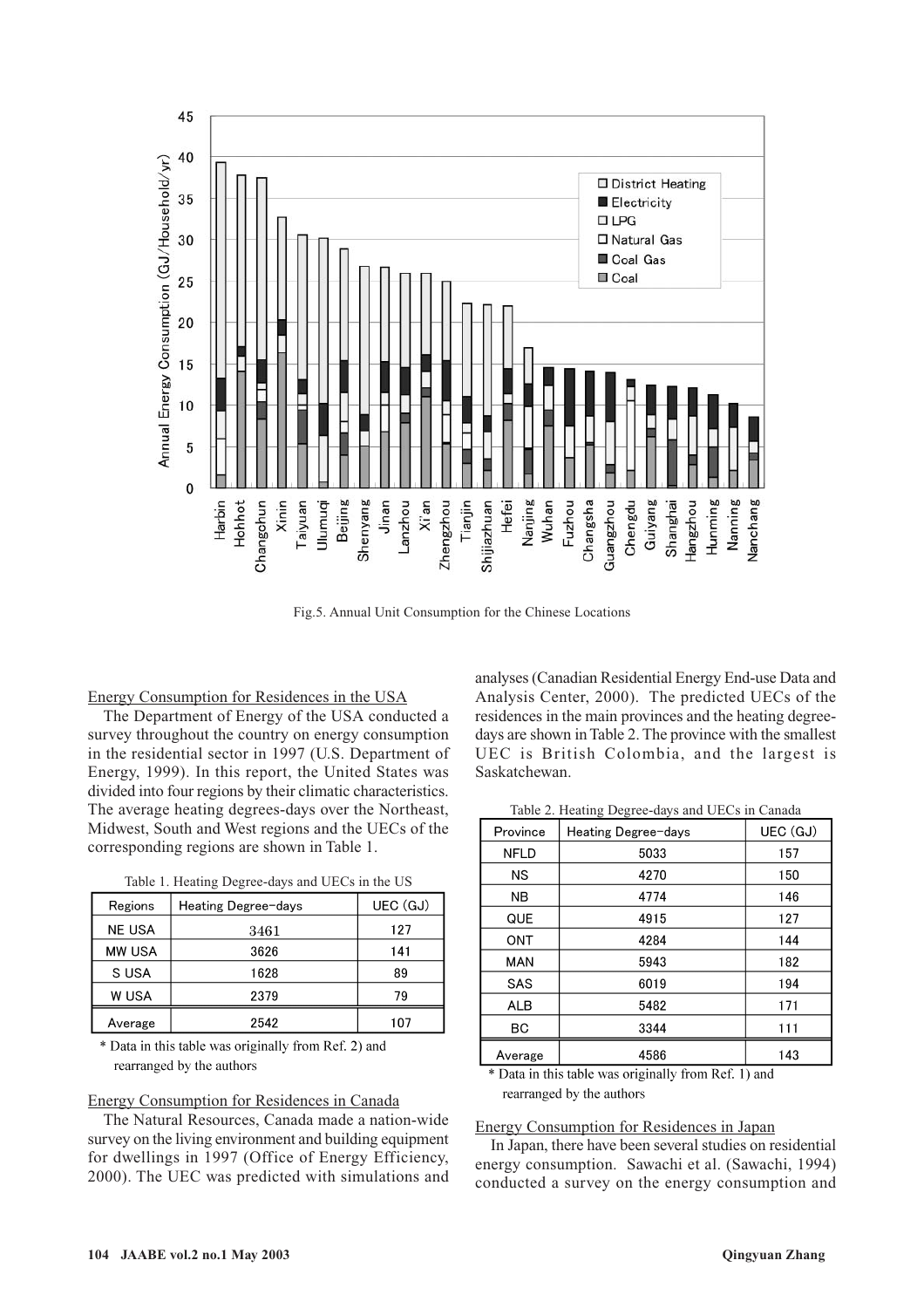

Fig.5. Annual Unit Consumption for the Chinese Locations

#### Energy Consumption for Residences in the USA

The Department of Energy of the USA conducted a survey throughout the country on energy consumption in the residential sector in 1997 (U.S. Department of Energy, 1999). In this report, the United States was divided into four regions by their climatic characteristics. The average heating degrees-days over the Northeast, Midwest, South and West regions and the UECs of the corresponding regions are shown in Table 1.

| Regions       | Heating Degree-days | UEC (GJ) |  |  |
|---------------|---------------------|----------|--|--|
| <b>NE USA</b> | 3461                | 127      |  |  |
| MW USA        | 3626                | 141      |  |  |
| S USA         | 1628                | 89       |  |  |
| W USA         | 2379                | 79       |  |  |
| Average       | 2542                | 107      |  |  |

|  |  | Table 1. Heating Degree-days and UECs in the US |  |  |  |  |  |  |  |
|--|--|-------------------------------------------------|--|--|--|--|--|--|--|
|--|--|-------------------------------------------------|--|--|--|--|--|--|--|

\* Data in this table was originally from Ref. 2) and rearranged by the authors

#### Energy Consumption for Residences in Canada

The Natural Resources, Canada made a nation-wide survey on the living environment and building equipment for dwellings in 1997 (Office of Energy Efficiency, 2000). The UEC was predicted with simulations and analyses (Canadian Residential Energy End-use Data and Analysis Center, 2000). The predicted UECs of the residences in the main provinces and the heating degreedays are shown in Table 2. The province with the smallest UEC is British Colombia, and the largest is Saskatchewan.

Table 2. Heating Degree-days and UECs in Canada

| Province    | Heating Degree-days | UEC (GJ) |  |
|-------------|---------------------|----------|--|
| <b>NFLD</b> | 5033                | 157      |  |
| ΝS          | 4270                | 150      |  |
| <b>NB</b>   | 4774                | 146      |  |
| QUE         | 4915                | 127      |  |
| ONT         | 4284                | 144      |  |
| <b>MAN</b>  | 5943                | 182      |  |
| SAS         | 6019                | 194      |  |
| <b>ALB</b>  | 5482                | 171      |  |
| BС          | 3344                | 111      |  |
| Average     | 4586                | 143      |  |

\* Data in this table was originally from Ref. 1) and rearranged by the authors

#### Energy Consumption for Residences in Japan

In Japan, there have been several studies on residential energy consumption. Sawachi et al. (Sawachi, 1994) conducted a survey on the energy consumption and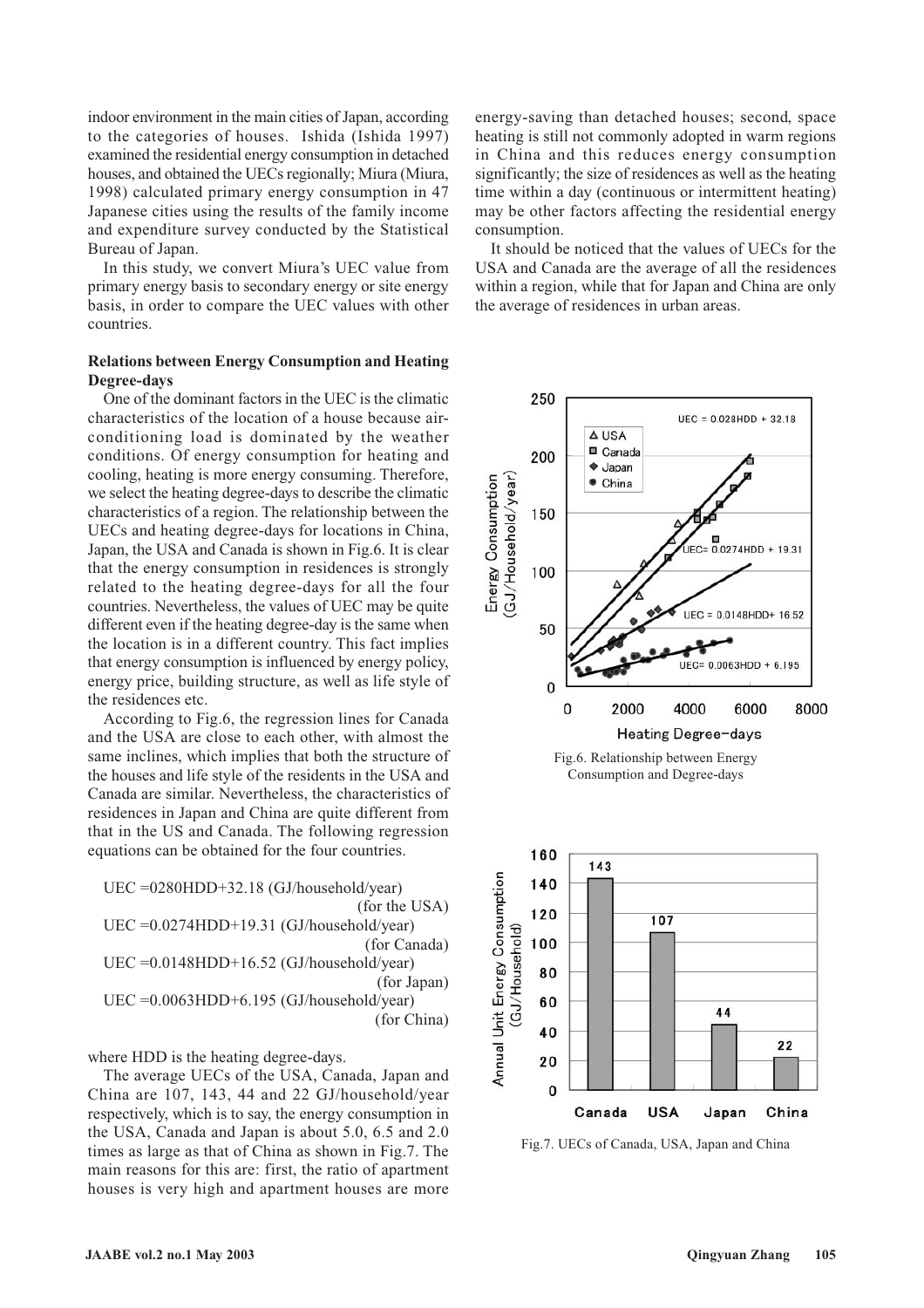indoor environment in the main cities of Japan, according to the categories of houses. Ishida (Ishida 1997) examined the residential energy consumption in detached houses, and obtained the UECs regionally; Miura (Miura, 1998) calculated primary energy consumption in 47 Japanese cities using the results of the family income and expenditure survey conducted by the Statistical Bureau of Japan.

In this study, we convert Miura's UEC value from primary energy basis to secondary energy or site energy basis, in order to compare the UEC values with other countries.

## **Relations between Energy Consumption and Heating Degree-days**

One of the dominant factors in the UEC is the climatic characteristics of the location of a house because airconditioning load is dominated by the weather conditions. Of energy consumption for heating and cooling, heating is more energy consuming. Therefore, we select the heating degree-days to describe the climatic characteristics of a region. The relationship between the UECs and heating degree-days for locations in China, Japan, the USA and Canada is shown in Fig.6. It is clear that the energy consumption in residences is strongly related to the heating degree-days for all the four countries. Nevertheless, the values of UEC may be quite different even if the heating degree-day is the same when the location is in a different country. This fact implies that energy consumption is influenced by energy policy, energy price, building structure, as well as life style of the residences etc.

According to Fig.6, the regression lines for Canada and the USA are close to each other, with almost the same inclines, which implies that both the structure of the houses and life style of the residents in the USA and Canada are similar. Nevertheless, the characteristics of residences in Japan and China are quite different from that in the US and Canada. The following regression equations can be obtained for the four countries.

UEC =0280HDD+32.18 (GJ/household/year) (for the USA) UEC =0.0274HDD+19.31 (GJ/household/year) (for Canada) UEC =0.0148HDD+16.52 (GJ/household/year) (for Japan) UEC =0.0063HDD+6.195 (GJ/household/year) (for China)

where HDD is the heating degree-days.

The average UECs of the USA, Canada, Japan and China are 107, 143, 44 and 22 GJ/household/year respectively, which is to say, the energy consumption in the USA, Canada and Japan is about 5.0, 6.5 and 2.0 times as large as that of China as shown in Fig.7. The main reasons for this are: first, the ratio of apartment houses is very high and apartment houses are more energy-saving than detached houses; second, space heating is still not commonly adopted in warm regions in China and this reduces energy consumption significantly; the size of residences as well as the heating time within a day (continuous or intermittent heating) may be other factors affecting the residential energy consumption.

It should be noticed that the values of UECs for the USA and Canada are the average of all the residences within a region, while that for Japan and China are only the average of residences in urban areas.



Fig.7. UECs of Canada, USA, Japan and China